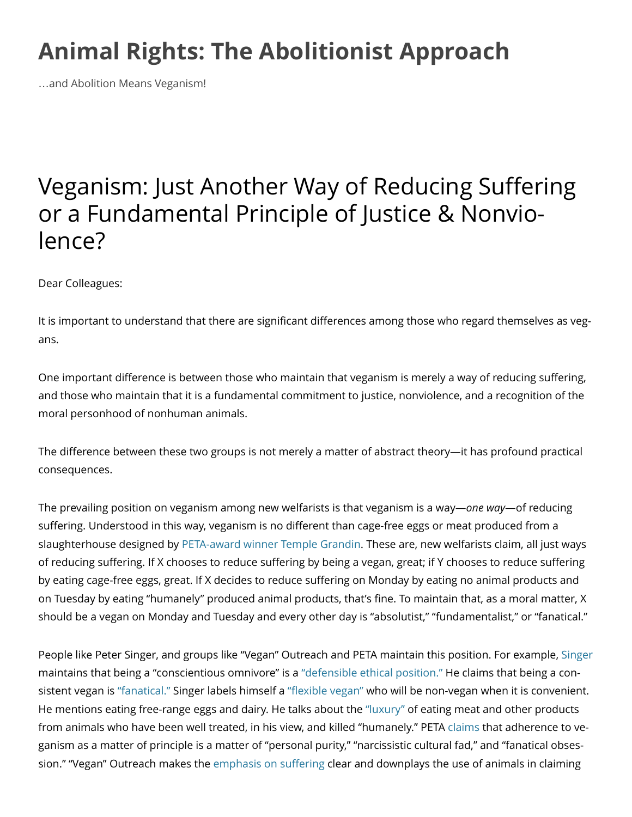## **[Animal Rights: The Abolitionist Approach](http://www.abolitionistapproach.com/)**

…and Abolition Means Veganism!

## Veganism: Just Another Way of Reducing Suffering or a Fundamental Principle of Justice & Nonviolence?

Dear Colleagues:

It is important to understand that there are significant differences among those who regard themselves as vegans.

One important difference is between those who maintain that veganism is merely a way of reducing suffering, and those who maintain that it is a fundamental commitment to justice, nonviolence, and a recognition of the moral personhood of nonhuman animals.

The difference between these two groups is not merely a matter of abstract theory—it has profound practical consequences.

The prevailing position on veganism among new welfarists is that veganism is a way—*one way*—of reducing suffering. Understood in this way, veganism is no different than cage-free eggs or meat produced from a slaughterhouse designed by [PETA-award winner Temple Grandin.](http://www.abolitionistapproach.com/media/links/p3136/peta-award.pdf) These are, new welfarists claim, all just ways of reducing suffering. If X chooses to reduce suffering by being a vegan, great; if Y chooses to reduce suffering by eating cage-free eggs, great. If X decides to reduce suffering on Monday by eating no animal products and on Tuesday by eating "humanely" produced animal products, that's fine. To maintain that, as a moral matter, X should be a vegan on Monday and Tuesday and every other day is "absolutist," "fundamentalist," or "fanatical."

People like Peter Singer, and groups like "Vegan" Outreach and PETA maintain this position. For example, [Singer](http://www.abolitionistapproach.com/peter-singer-happy-meat-and-fanatical-vegans/) maintains that being a "conscientious omnivore" is a ["defensible ethical position."](http://www.abolitionistapproach.com/media/links/p3136/defensible-ethical.pdf) He claims that being a consistent vegan is ["fanatical."](http://www.abolitionistapproach.com/media/links/p3136/fanatical.pdf) Singer labels himself a ["flexible vegan"](http://www.abolitionistapproach.com/media/links/p34/may-2006.pdf) who will be non-vegan when it is convenient. He mentions eating free-range eggs and dairy. He talks about the ["luxury"](http://www.abolitionistapproach.com/the-luxury-of-death/) of eating meat and other products from animals who have been well treated, in his view, and killed "humanely." PETA [claims](http://www.abolitionistapproach.com/media/links/p3136/claims.pdf) that adherence to veganism as a matter of principle is a matter of "personal purity," "narcissistic cultural fad," and "fanatical obsession." "Vegan" Outreach makes the [emphasis on suffering](http://www.abolitionistapproach.com/media/links/p3136/emphasis-on.pdf) clear and downplays the use of animals in claiming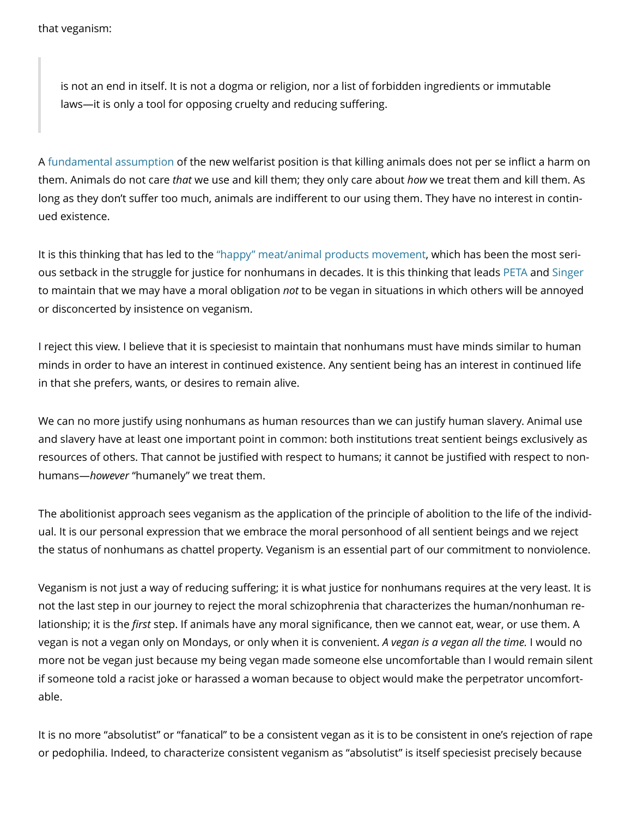is not an end in itself. It is not a dogma or religion, nor a list of forbidden ingredients or immutable laws—it is only a tool for opposing cruelty and reducing suffering.

A [fundamental assumption](http://www.abolitionistapproach.com/peter-singer-and-the-welfarist-position-on-the-lesser-value-of-nonhuman-life/) of the new welfarist position is that killing animals does not per se inflict a harm on them. Animals do not care *that* we use and kill them; they only care about *how* we treat them and kill them. As long as they don't suffer too much, animals are indifferent to our using them. They have no interest in continued existence.

It is this thinking that has led to the ["happy" meat/animal products movement,](http://www.abolitionistapproach.com/happy-meat-making-humans-feel-better-about-eating-animals/) which has been the most serious setback in the struggle for justice for nonhumans in decades. It is this thinking that leads [PETA](http://www.abolitionistapproach.com/media/links/p3136/peta.pdf) and [Singer](http://www.abolitionistapproach.com/oh-my-god-these-vegans/) to maintain that we may have a moral obligation *not* to be vegan in situations in which others will be annoyed or disconcerted by insistence on veganism.

I reject this view. I believe that it is speciesist to maintain that nonhumans must have minds similar to human minds in order to have an interest in continued existence. Any sentient being has an interest in continued life in that she prefers, wants, or desires to remain alive.

We can no more justify using nonhumans as human resources than we can justify human slavery. Animal use and slavery have at least one important point in common: both institutions treat sentient beings exclusively as resources of others. That cannot be justified with respect to humans; it cannot be justified with respect to nonhumans—*however* "humanely" we treat them.

The abolitionist approach sees veganism as the application of the principle of abolition to the life of the individual. It is our personal expression that we embrace the moral personhood of all sentient beings and we reject the status of nonhumans as chattel property. Veganism is an essential part of our commitment to nonviolence.

Veganism is not just a way of reducing suffering; it is what justice for nonhumans requires at the very least. It is not the last step in our journey to reject the moral schizophrenia that characterizes the human/nonhuman relationship; it is the *first* step. If animals have any moral significance, then we cannot eat, wear, or use them. A vegan is not a vegan only on Mondays, or only when it is convenient. *A vegan is a vegan all the time.* I would no more not be vegan just because my being vegan made someone else uncomfortable than I would remain silent if someone told a racist joke or harassed a woman because to object would make the perpetrator uncomfortable.

It is no more "absolutist" or "fanatical" to be a consistent vegan as it is to be consistent in one's rejection of rape or pedophilia. Indeed, to characterize consistent veganism as "absolutist" is itself speciesist precisely because